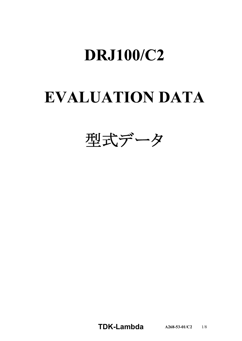# **DRJ100/C2**

# **EVALUATION DATA**



**TDKLambda A2685301/C2** 1/8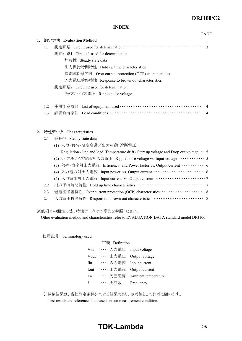PAGE

#### **INDEX**

| 1. |     | 測定方法 Evaluation Method                                |               |
|----|-----|-------------------------------------------------------|---------------|
|    | 1.1 |                                                       | $\mathcal{R}$ |
|    |     | 測定回路1 Circuit 1 used for determination                |               |
|    |     | 静特性 Steady state data                                 |               |
|    |     | 出力保持時間特性 Hold up time characteristics                 |               |
|    |     | 過電流保護特性 Over current protection (OCP) characteristics |               |
|    |     | 入力電圧瞬停特性 Response to brown out characteristics        |               |
|    |     | 測定回路2 Circuit 2 used for determination                |               |
|    |     | リップルノイズ電圧 Ripple noise voltage                        |               |
|    |     |                                                       |               |
|    | 1.2 | 使用測定機器 List of equipment used ……………………………………………………    | 4             |
|    | 1.3 | 評価負荷条件 Load conditions ……………………………………………………           |               |

#### **2. Characteristics**

| 2.1 | 静特性 Steady state data                                                                                 |  |
|-----|-------------------------------------------------------------------------------------------------------|--|
|     | (1) 入力·負荷·温度変動/出力起動·遮断電圧                                                                              |  |
|     | Regulation - line and load, Temperature drift / Start up voltage and Drop out voltage $\cdot \cdot$ 5 |  |
|     | (2) リップルノイズ電圧対入力電圧 Ripple noise voltage vs. Input voltage …………… 5                                     |  |
|     | (3) 効率·力率対出力電流 Efficiency and Power factor vs. Output current …………… 6                                 |  |
|     | (4) 入力電力対出力電流 Input power vs. Output current ………………………………… 6                                          |  |
|     | (5) 入力電流対出力電流 Input current vs. Output current …………………………………………………………………………………………                     |  |
| 2.2 |                                                                                                       |  |
| 2.3 | 過電流保護特性 Over current protection (OCP) characteristics ……………………… 8                                     |  |
| 2.4 | 入力電圧瞬停特性 Response to brown out characteristics ………………………………… 8                                        |  |
|     |                                                                                                       |  |

※他項目の測定方法、特性データは標準品を参照ください。

Other evaluation method and characteristics refer to EVALUATION DATA standard model DRJ100.

使用記号 Terminology used

|      | 定義 Definition |                     |
|------|---------------|---------------------|
| Vin  | …… 入力電圧       | Input voltage       |
| Vout | …… 出力電圧       | Output voltage      |
| Iin  | …… 入力電流       | Input current       |
| Iout | ・・・・・・出力電流    | Output current      |
| Ta   | …… 周囲温度       | Ambient temperature |
| f    | …… 周波数        | Frequency           |

※ 試験結果は、当社測定条件における結果であり、参考値としてお考え願います。 Test results are reference data based on our measurement condition.

# **TDKLambda** 2/8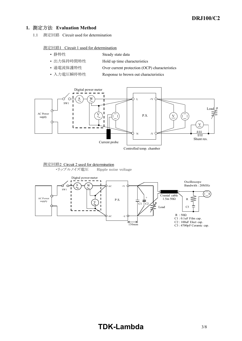#### **1. Evaluation Method**

1.1 測定回路 Circuit used for determination

測定回路1 Circuit 1 used for determination

- 静特性 Steady state data
- 出力保持時間特性 Hold up time characteristics
- 過電流保護特性 Over current protection (OCP) characteristics
- 入力電圧瞬停特性 Response to brown out characteristics





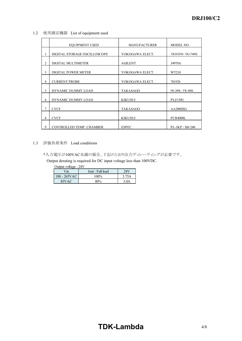1.2 使用測定機器 List of equipment used

|                | <b>EQUIPMENT USED</b>        | <b>MANUFACTURER</b> | MODEL NO.          |
|----------------|------------------------------|---------------------|--------------------|
|                | DIGITAL STORAGE OSCILLOSCOPE | YOKOGAWA ELECT.     | DLM2054 / DL1740EL |
| 2              | DIGITAL MULTIMETER           | <b>AGILENT</b>      | 34970A             |
| 3              | DIGITAL POWER METER          | YOKOGAWA ELECT.     | WT210              |
| $\overline{4}$ | <b>CURRENT PROBE</b>         | YOKOGAWA ELECT.     | 701928             |
| 5              | DYNAMIC DUMMY LOAD           | <b>TAKASAGO</b>     | FK-200L / FK-400L  |
| 6              | DYNAMIC DUMMY LOAD           | <b>KIKUSUI</b>      | <b>PLZ150U</b>     |
| 7              | <b>CVCF</b>                  | <b>TAKASAGO</b>     | AA2000XG           |
| 8              | <b>CVCF</b>                  | <b>KIKUSUI</b>      | <b>PCR4000L</b>    |
| 9              | CONTROLLED TEMP. CHAMBER     | <b>ESPEC</b>        | PL-1KP / SH-240    |

#### 1.3 評価負荷条件 Load conditions

\*入力電圧が100VAC未満の場合、下記のとおり出力ディレーティングが必要です。

Output derating is required for DC input voltage less than 100VDC.

| Output voltage: 24V |                  |                  |  |  |
|---------------------|------------------|------------------|--|--|
| Vin                 | Iout : Full load | 24V              |  |  |
| $100 - 265$ VAC     | $100\%$          | 3.75A            |  |  |
| 85VAC               | 80%              | 3.0 <sub>A</sub> |  |  |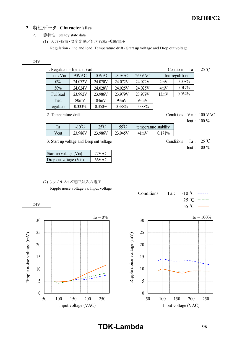### **2. Characteristics**

- 2.1 静特性 Steady state data
	- (1) 入力・負荷・温度変動/出力起動・遮断電圧

Regulation - line and load, Temperature drift / Start up voltage and Drop out voltage

#### 24V

| 1. Regulation - line and load<br>Condition<br>$Ta$ : |           |         |         |         |      | $25^\circ \text{C}$ |  |
|------------------------------------------------------|-----------|---------|---------|---------|------|---------------------|--|
| $Iout \setminus Vin$                                 | 90VAC     | 100VAC  | 230VAC  | 265VAC  |      | line regulation     |  |
| $0\%$                                                | 24.072V   | 24.070V | 24.072V | 24.072V | 2mV  | 0.008%              |  |
| 50%                                                  | 24.024V   | 24.028V | 24.025V | 24.025V | 4mV  | 0.017%              |  |
| Full load                                            | 23.992V   | 23.986V | 23.979V | 23.979V | 13mV | 0.054%              |  |
| load                                                 | 80mV      | 84mV    | 93mV    | 93mV    |      |                     |  |
| regulation                                           | $0.333\%$ | 0.350%  | 0.388%  | 0.388%  |      |                     |  |

2. Temperature drift Conditions Vin : 100 VAC

Iout : 100 %

Iout : 100 %

|     | $n^{0}C$<br>$\overline{\phantom{0}}$ | $-00$<br>〜 | $\sim$ |        | <br>stability |
|-----|--------------------------------------|------------|--------|--------|---------------|
| out |                                      | ت          |        | $\sim$ | $\mathbf{0}$  |

3. Start up voltage and Drop out voltage Conditions Ta :  $25^{\circ}$ C

| Start up voltage (Vin) | 77V A C |
|------------------------|---------|
| Drop out voltage (Vin) | 66VAC   |

#### (2) リップルノイズ電圧対入力電圧

Ripple noise voltage vs. Input voltage







**TDK-Lambda** 5/8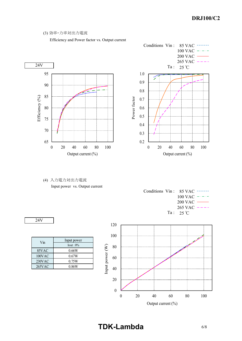#### (3) 効率・力率対出力電流

Efficiency and Power factor vs. Output current





(4) 入力電力対出力電流 Input power vs. Output current

|  | Conditions Vin : $85 \text{ VAC}$ ------ |
|--|------------------------------------------|
|  | $100 \text{ VAC}$ - - -                  |
|  | $200$ VAC $\longrightarrow$              |
|  | $265 \text{ VAC}$ ----                   |
|  | $Ta: 25\degree C$                        |

24V

| Vin    | Input power<br>$I$ out : $0\%$ |
|--------|--------------------------------|
| 85VAC  | 0.66W                          |
| 100VAC | 0.67W                          |
| 230VAC | 0.75W                          |
| 265VAC | 0.86W                          |



# **TDK-Lambda** 6/8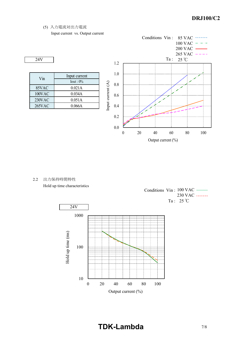(5) 入力電流対出力電流

Input current vs. Output current

$$
24V
$$

| Vin    | Input current   |
|--------|-----------------|
|        | $I$ out : $0\%$ |
| 85VAC  | 0.021A          |
| 100VAC | 0.034A          |
| 230VAC | 0.051A          |
| 265VAC | 0.066A          |



2.2 出力保持時間特性

Hold up time characteristics



Conditions Vin: 100 VAC 230 VAC Ta :  $25^{\circ}$ C

# **TDK-Lambda** 7/8